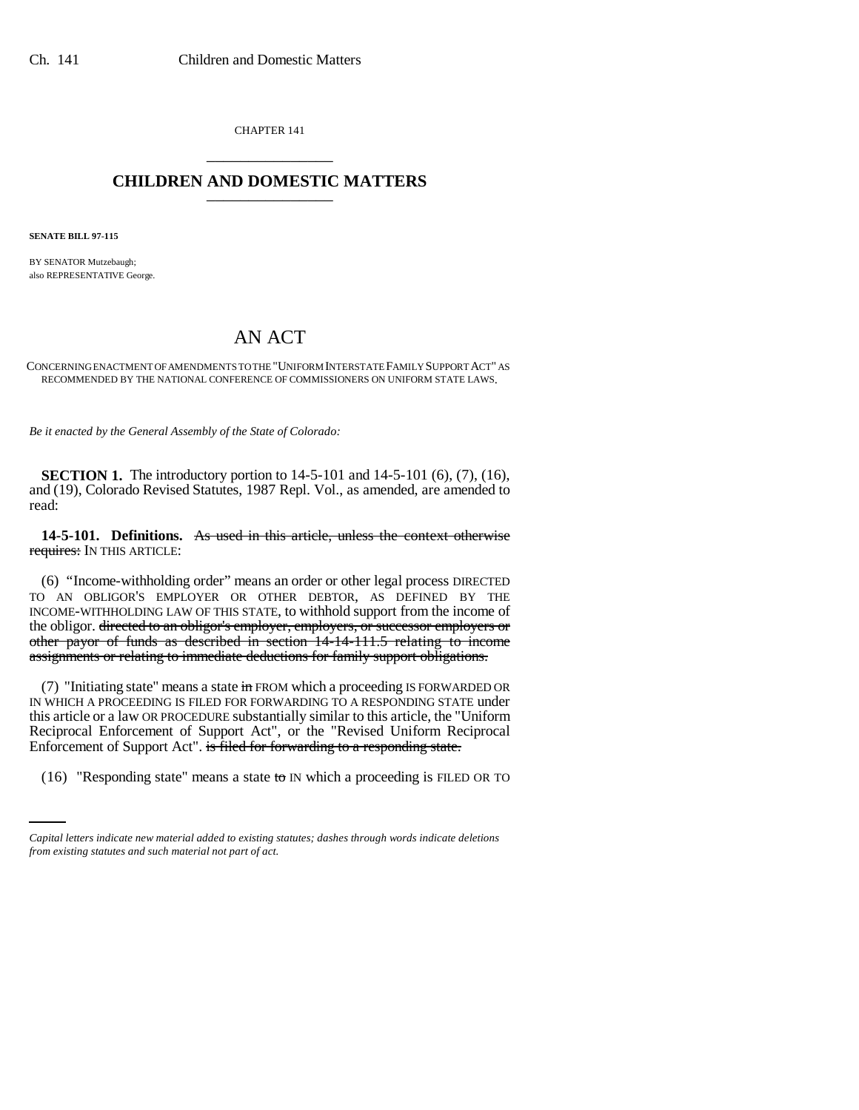CHAPTER 141 \_\_\_\_\_\_\_\_\_\_\_\_\_\_\_

## **CHILDREN AND DOMESTIC MATTERS** \_\_\_\_\_\_\_\_\_\_\_\_\_\_\_

**SENATE BILL 97-115**

BY SENATOR Mutzebaugh; also REPRESENTATIVE George.

# AN ACT

CONCERNING ENACTMENT OF AMENDMENTS TO THE "UNIFORM INTERSTATE FAMILY SUPPORT ACT" AS RECOMMENDED BY THE NATIONAL CONFERENCE OF COMMISSIONERS ON UNIFORM STATE LAWS.

*Be it enacted by the General Assembly of the State of Colorado:*

**SECTION 1.** The introductory portion to 14-5-101 and 14-5-101 (6), (7), (16), and (19), Colorado Revised Statutes, 1987 Repl. Vol., as amended, are amended to read:

**14-5-101. Definitions.** As used in this article, unless the context otherwise requires: IN THIS ARTICLE:

(6) "Income-withholding order" means an order or other legal process DIRECTED TO AN OBLIGOR'S EMPLOYER OR OTHER DEBTOR, AS DEFINED BY THE INCOME-WITHHOLDING LAW OF THIS STATE, to withhold support from the income of the obligor. directed to an obligor's employer, employers, or successor employers or other payor of funds as described in section 14-14-111.5 relating to income assignments or relating to immediate deductions for family support obligations.

Enforcement of Support Act". is filed for forwarding to a responding state. (7) "Initiating state" means a state  $\frac{1}{2}$  FROM which a proceeding IS FORWARDED OR IN WHICH A PROCEEDING IS FILED FOR FORWARDING TO A RESPONDING STATE under this article or a law OR PROCEDURE substantially similar to this article, the "Uniform Reciprocal Enforcement of Support Act", or the "Revised Uniform Reciprocal

(16) "Responding state" means a state to IN which a proceeding is FILED OR TO

*Capital letters indicate new material added to existing statutes; dashes through words indicate deletions from existing statutes and such material not part of act.*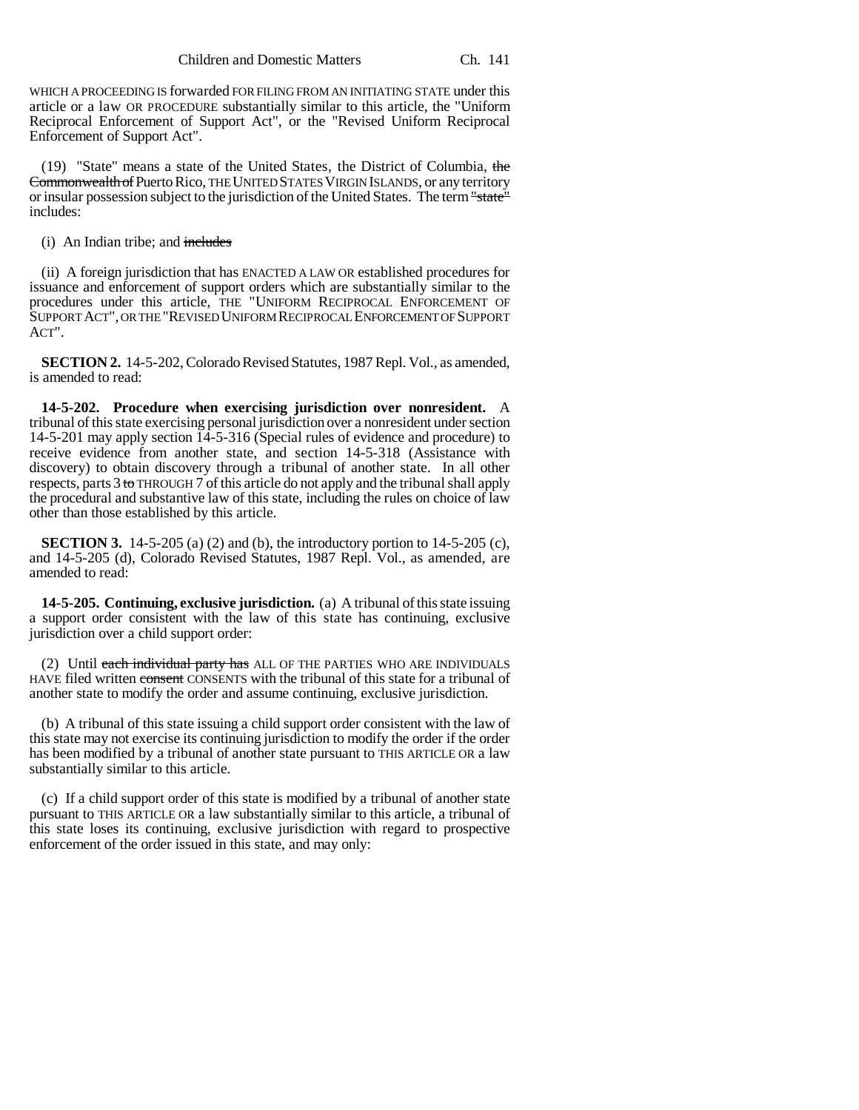WHICH A PROCEEDING IS forwarded FOR FILING FROM AN INITIATING STATE under this article or a law OR PROCEDURE substantially similar to this article, the "Uniform Reciprocal Enforcement of Support Act", or the "Revised Uniform Reciprocal Enforcement of Support Act".

(19) "State" means a state of the United States, the District of Columbia, the Commonwealth of Puerto Rico, THE UNITED STATES VIRGIN ISLANDS, or any territory or insular possession subject to the jurisdiction of the United States. The term "state" includes:

(i) An Indian tribe; and includes

(ii) A foreign jurisdiction that has ENACTED A LAW OR established procedures for issuance and enforcement of support orders which are substantially similar to the procedures under this article, THE "UNIFORM RECIPROCAL ENFORCEMENT OF SUPPORT ACT", OR THE "REVISED UNIFORM RECIPROCAL ENFORCEMENT OF SUPPORT ACT".

**SECTION 2.** 14-5-202, Colorado Revised Statutes, 1987 Repl. Vol., as amended, is amended to read:

**14-5-202. Procedure when exercising jurisdiction over nonresident.** A tribunal of this state exercising personal jurisdiction over a nonresident under section 14-5-201 may apply section 14-5-316 (Special rules of evidence and procedure) to receive evidence from another state, and section 14-5-318 (Assistance with discovery) to obtain discovery through a tribunal of another state. In all other respects, parts 3 to THROUGH 7 of this article do not apply and the tribunal shall apply the procedural and substantive law of this state, including the rules on choice of law other than those established by this article.

**SECTION 3.** 14-5-205 (a) (2) and (b), the introductory portion to 14-5-205 (c), and 14-5-205 (d), Colorado Revised Statutes, 1987 Repl. Vol., as amended, are amended to read:

**14-5-205. Continuing, exclusive jurisdiction.** (a) A tribunal of this state issuing a support order consistent with the law of this state has continuing, exclusive jurisdiction over a child support order:

(2) Until each individual party has ALL OF THE PARTIES WHO ARE INDIVIDUALS HAVE filed written consent CONSENTS with the tribunal of this state for a tribunal of another state to modify the order and assume continuing, exclusive jurisdiction.

(b) A tribunal of this state issuing a child support order consistent with the law of this state may not exercise its continuing jurisdiction to modify the order if the order has been modified by a tribunal of another state pursuant to THIS ARTICLE OR a law substantially similar to this article.

(c) If a child support order of this state is modified by a tribunal of another state pursuant to THIS ARTICLE OR a law substantially similar to this article, a tribunal of this state loses its continuing, exclusive jurisdiction with regard to prospective enforcement of the order issued in this state, and may only: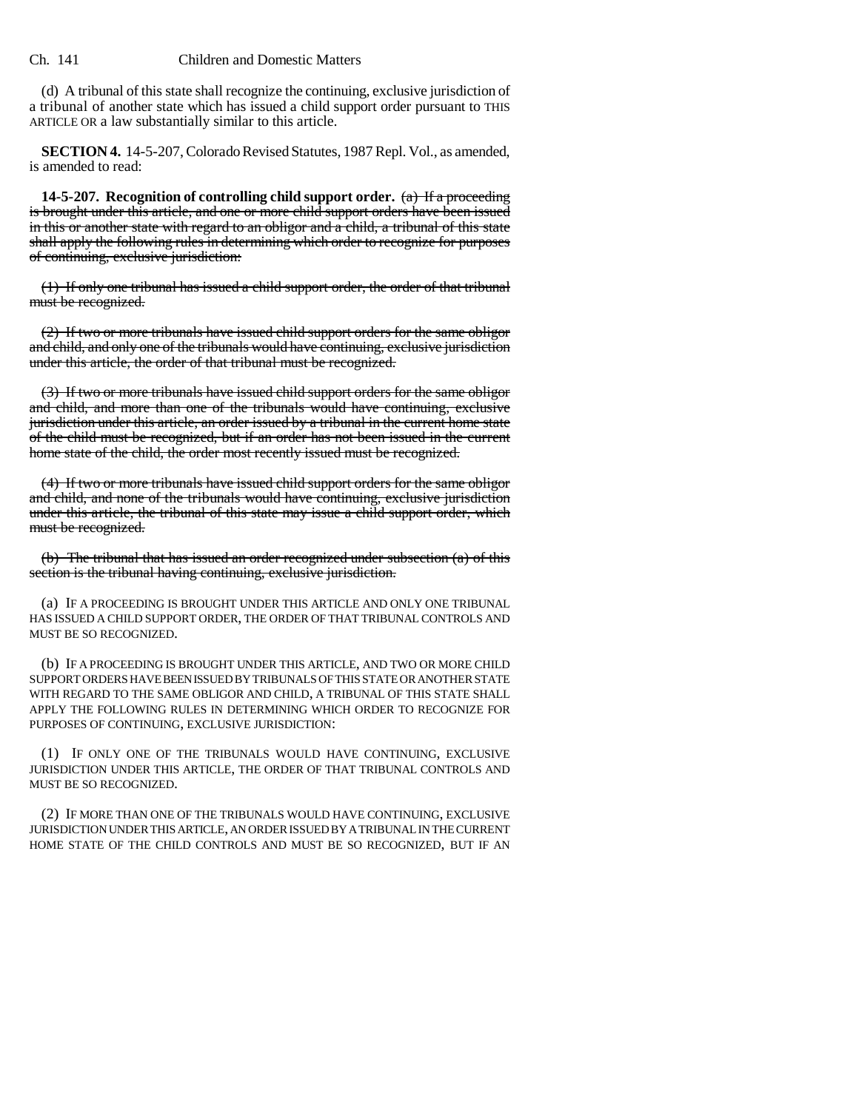#### Ch. 141 Children and Domestic Matters

(d) A tribunal of this state shall recognize the continuing, exclusive jurisdiction of a tribunal of another state which has issued a child support order pursuant to THIS ARTICLE OR a law substantially similar to this article.

**SECTION 4.** 14-5-207, Colorado Revised Statutes, 1987 Repl. Vol., as amended, is amended to read:

**14-5-207. Recognition of controlling child support order.** (a) If a proceeding is brought under this article, and one or more child support orders have been issued in this or another state with regard to an obligor and a child, a tribunal of this state shall apply the following rules in determining which order to recognize for purposes of continuing, exclusive jurisdiction:

(1) If only one tribunal has issued a child support order, the order of that tribunal must be recognized.

(2) If two or more tribunals have issued child support orders for the same obligor and child, and only one of the tribunals would have continuing, exclusive jurisdiction under this article, the order of that tribunal must be recognized.

(3) If two or more tribunals have issued child support orders for the same obligor and child, and more than one of the tribunals would have continuing, exclusive jurisdiction under this article, an order issued by a tribunal in the current home state of the child must be recognized, but if an order has not been issued in the current home state of the child, the order most recently issued must be recognized.

(4) If two or more tribunals have issued child support orders for the same obligor and child, and none of the tribunals would have continuing, exclusive jurisdiction under this article, the tribunal of this state may issue a child support order, which must be recognized.

(b) The tribunal that has issued an order recognized under subsection (a) of this section is the tribunal having continuing, exclusive jurisdiction.

(a) IF A PROCEEDING IS BROUGHT UNDER THIS ARTICLE AND ONLY ONE TRIBUNAL HAS ISSUED A CHILD SUPPORT ORDER, THE ORDER OF THAT TRIBUNAL CONTROLS AND MUST BE SO RECOGNIZED.

(b) IF A PROCEEDING IS BROUGHT UNDER THIS ARTICLE, AND TWO OR MORE CHILD SUPPORT ORDERS HAVE BEEN ISSUED BY TRIBUNALS OF THIS STATE OR ANOTHER STATE WITH REGARD TO THE SAME OBLIGOR AND CHILD, A TRIBUNAL OF THIS STATE SHALL APPLY THE FOLLOWING RULES IN DETERMINING WHICH ORDER TO RECOGNIZE FOR PURPOSES OF CONTINUING, EXCLUSIVE JURISDICTION:

(1) IF ONLY ONE OF THE TRIBUNALS WOULD HAVE CONTINUING, EXCLUSIVE JURISDICTION UNDER THIS ARTICLE, THE ORDER OF THAT TRIBUNAL CONTROLS AND MUST BE SO RECOGNIZED.

(2) IF MORE THAN ONE OF THE TRIBUNALS WOULD HAVE CONTINUING, EXCLUSIVE JURISDICTION UNDER THIS ARTICLE, AN ORDER ISSUED BY A TRIBUNAL IN THE CURRENT HOME STATE OF THE CHILD CONTROLS AND MUST BE SO RECOGNIZED, BUT IF AN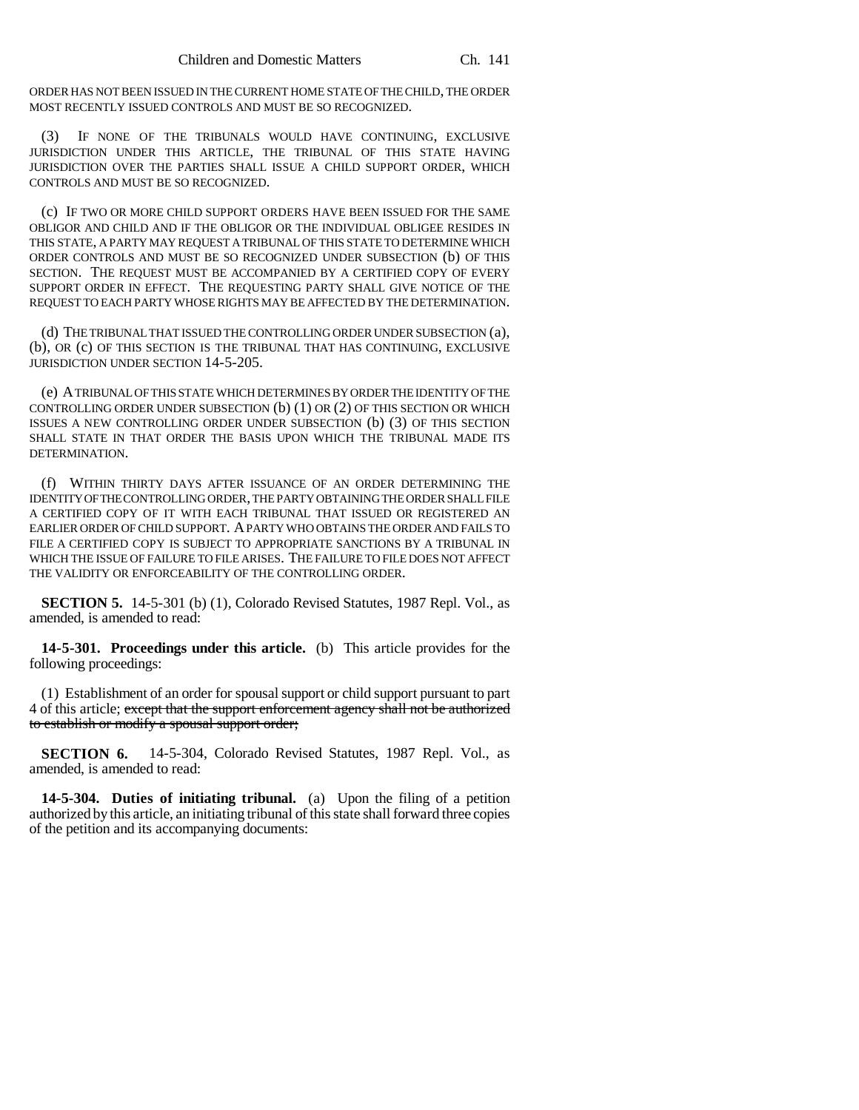ORDER HAS NOT BEEN ISSUED IN THE CURRENT HOME STATE OF THE CHILD, THE ORDER MOST RECENTLY ISSUED CONTROLS AND MUST BE SO RECOGNIZED.

(3) IF NONE OF THE TRIBUNALS WOULD HAVE CONTINUING, EXCLUSIVE JURISDICTION UNDER THIS ARTICLE, THE TRIBUNAL OF THIS STATE HAVING JURISDICTION OVER THE PARTIES SHALL ISSUE A CHILD SUPPORT ORDER, WHICH CONTROLS AND MUST BE SO RECOGNIZED.

(c) IF TWO OR MORE CHILD SUPPORT ORDERS HAVE BEEN ISSUED FOR THE SAME OBLIGOR AND CHILD AND IF THE OBLIGOR OR THE INDIVIDUAL OBLIGEE RESIDES IN THIS STATE, A PARTY MAY REQUEST A TRIBUNAL OF THIS STATE TO DETERMINE WHICH ORDER CONTROLS AND MUST BE SO RECOGNIZED UNDER SUBSECTION (b) OF THIS SECTION. THE REQUEST MUST BE ACCOMPANIED BY A CERTIFIED COPY OF EVERY SUPPORT ORDER IN EFFECT. THE REQUESTING PARTY SHALL GIVE NOTICE OF THE REQUEST TO EACH PARTY WHOSE RIGHTS MAY BE AFFECTED BY THE DETERMINATION.

(d) THE TRIBUNAL THAT ISSUED THE CONTROLLING ORDER UNDER SUBSECTION (a), (b), OR (c) OF THIS SECTION IS THE TRIBUNAL THAT HAS CONTINUING, EXCLUSIVE JURISDICTION UNDER SECTION 14-5-205.

(e) A TRIBUNAL OF THIS STATE WHICH DETERMINES BY ORDER THE IDENTITY OF THE CONTROLLING ORDER UNDER SUBSECTION (b) (1) OR (2) OF THIS SECTION OR WHICH ISSUES A NEW CONTROLLING ORDER UNDER SUBSECTION (b) (3) OF THIS SECTION SHALL STATE IN THAT ORDER THE BASIS UPON WHICH THE TRIBUNAL MADE ITS DETERMINATION.

(f) WITHIN THIRTY DAYS AFTER ISSUANCE OF AN ORDER DETERMINING THE IDENTITY OF THE CONTROLLING ORDER, THE PARTY OBTAINING THE ORDER SHALL FILE A CERTIFIED COPY OF IT WITH EACH TRIBUNAL THAT ISSUED OR REGISTERED AN EARLIER ORDER OF CHILD SUPPORT. A PARTY WHO OBTAINS THE ORDER AND FAILS TO FILE A CERTIFIED COPY IS SUBJECT TO APPROPRIATE SANCTIONS BY A TRIBUNAL IN WHICH THE ISSUE OF FAILURE TO FILE ARISES. THE FAILURE TO FILE DOES NOT AFFECT THE VALIDITY OR ENFORCEABILITY OF THE CONTROLLING ORDER.

**SECTION 5.** 14-5-301 (b) (1), Colorado Revised Statutes, 1987 Repl. Vol., as amended, is amended to read:

**14-5-301. Proceedings under this article.** (b) This article provides for the following proceedings:

(1) Establishment of an order for spousal support or child support pursuant to part 4 of this article; except that the support enforcement agency shall not be authorized to establish or modify a spousal support order;

**SECTION 6.** 14-5-304, Colorado Revised Statutes, 1987 Repl. Vol., as amended, is amended to read:

**14-5-304. Duties of initiating tribunal.** (a) Upon the filing of a petition authorized by this article, an initiating tribunal of this state shall forward three copies of the petition and its accompanying documents: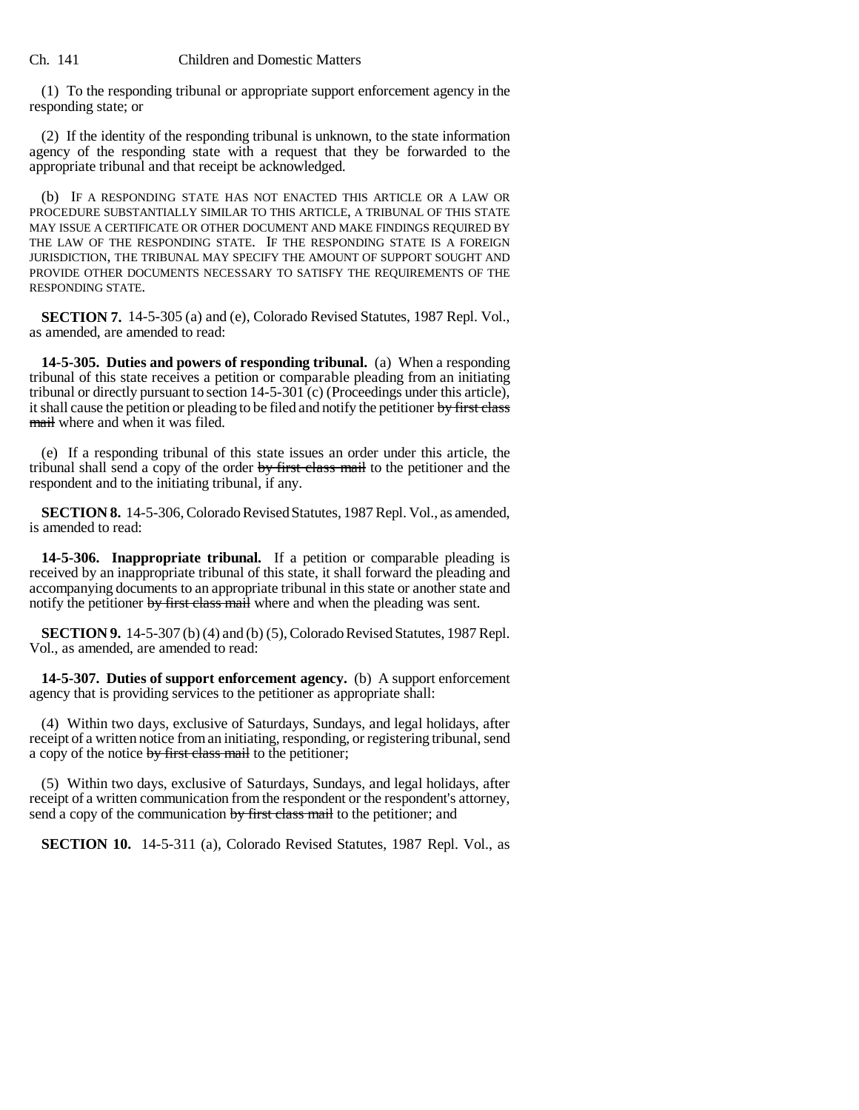(1) To the responding tribunal or appropriate support enforcement agency in the responding state; or

(2) If the identity of the responding tribunal is unknown, to the state information agency of the responding state with a request that they be forwarded to the appropriate tribunal and that receipt be acknowledged.

(b) IF A RESPONDING STATE HAS NOT ENACTED THIS ARTICLE OR A LAW OR PROCEDURE SUBSTANTIALLY SIMILAR TO THIS ARTICLE, A TRIBUNAL OF THIS STATE MAY ISSUE A CERTIFICATE OR OTHER DOCUMENT AND MAKE FINDINGS REQUIRED BY THE LAW OF THE RESPONDING STATE. IF THE RESPONDING STATE IS A FOREIGN JURISDICTION, THE TRIBUNAL MAY SPECIFY THE AMOUNT OF SUPPORT SOUGHT AND PROVIDE OTHER DOCUMENTS NECESSARY TO SATISFY THE REQUIREMENTS OF THE RESPONDING STATE.

**SECTION 7.** 14-5-305 (a) and (e), Colorado Revised Statutes, 1987 Repl. Vol., as amended, are amended to read:

**14-5-305. Duties and powers of responding tribunal.** (a) When a responding tribunal of this state receives a petition or comparable pleading from an initiating tribunal or directly pursuant to section 14-5-301 (c) (Proceedings under this article), it shall cause the petition or pleading to be filed and notify the petitioner by first class mail where and when it was filed.

(e) If a responding tribunal of this state issues an order under this article, the tribunal shall send a copy of the order by first class mail to the petitioner and the respondent and to the initiating tribunal, if any.

**SECTION 8.** 14-5-306, Colorado Revised Statutes, 1987 Repl. Vol., as amended, is amended to read:

**14-5-306. Inappropriate tribunal.** If a petition or comparable pleading is received by an inappropriate tribunal of this state, it shall forward the pleading and accompanying documents to an appropriate tribunal in this state or another state and notify the petitioner by first class mail where and when the pleading was sent.

**SECTION 9.** 14-5-307 (b) (4) and (b) (5), Colorado Revised Statutes, 1987 Repl. Vol., as amended, are amended to read:

**14-5-307. Duties of support enforcement agency.** (b) A support enforcement agency that is providing services to the petitioner as appropriate shall:

(4) Within two days, exclusive of Saturdays, Sundays, and legal holidays, after receipt of a written notice from an initiating, responding, or registering tribunal, send a copy of the notice by first class mail to the petitioner;

(5) Within two days, exclusive of Saturdays, Sundays, and legal holidays, after receipt of a written communication from the respondent or the respondent's attorney, send a copy of the communication by first class mail to the petitioner; and

**SECTION 10.** 14-5-311 (a), Colorado Revised Statutes, 1987 Repl. Vol., as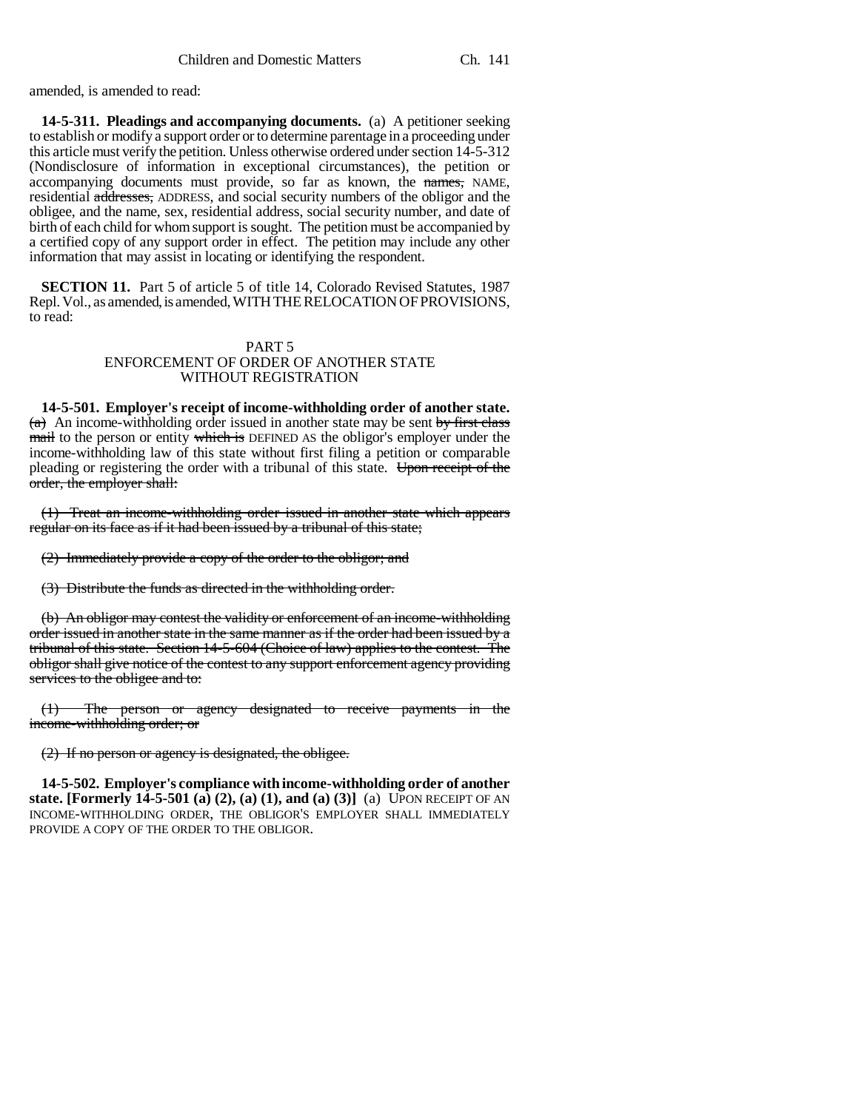amended, is amended to read:

**14-5-311. Pleadings and accompanying documents.** (a) A petitioner seeking to establish or modify a support order or to determine parentage in a proceeding under this article must verify the petition. Unless otherwise ordered under section 14-5-312 (Nondisclosure of information in exceptional circumstances), the petition or accompanying documents must provide, so far as known, the names, NAME, residential addresses, ADDRESS, and social security numbers of the obligor and the obligee, and the name, sex, residential address, social security number, and date of birth of each child for whom support is sought. The petition must be accompanied by a certified copy of any support order in effect. The petition may include any other information that may assist in locating or identifying the respondent.

**SECTION 11.** Part 5 of article 5 of title 14, Colorado Revised Statutes, 1987 Repl. Vol., as amended, is amended, WITH THE RELOCATION OF PROVISIONS, to read:

## PART 5 ENFORCEMENT OF ORDER OF ANOTHER STATE WITHOUT REGISTRATION

**14-5-501. Employer's receipt of income-withholding order of another state.**  $(a)$  An income-withholding order issued in another state may be sent by first class mail to the person or entity which is DEFINED AS the obligor's employer under the income-withholding law of this state without first filing a petition or comparable pleading or registering the order with a tribunal of this state. Upon receipt of the order, the employer shall:

(1) Treat an income-withholding order issued in another state which appears regular on its face as if it had been issued by a tribunal of this state;

(2) Immediately provide a copy of the order to the obligor; and

(3) Distribute the funds as directed in the withholding order.

(b) An obligor may contest the validity or enforcement of an income-withholding order issued in another state in the same manner as if the order had been issued by a tribunal of this state. Section 14-5-604 (Choice of law) applies to the contest. The obligor shall give notice of the contest to any support enforcement agency providing services to the obligee and to:

(1) The person or agency designated to receive payments in the income-withholding order; or

(2) If no person or agency is designated, the obligee.

**14-5-502. Employer's compliance with income-withholding order of another state. [Formerly 14-5-501 (a) (2), (a) (1), and (a) (3)]** (a) UPON RECEIPT OF AN INCOME-WITHHOLDING ORDER, THE OBLIGOR'S EMPLOYER SHALL IMMEDIATELY PROVIDE A COPY OF THE ORDER TO THE OBLIGOR.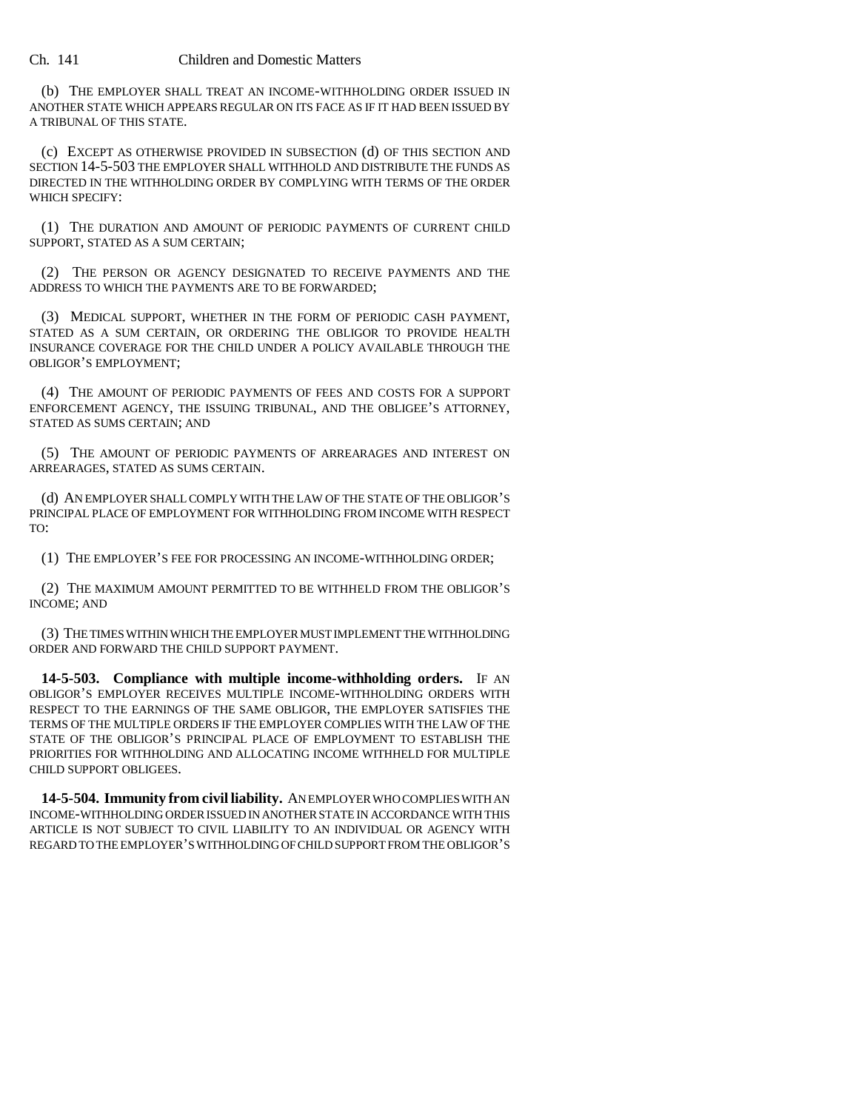## Ch. 141 Children and Domestic Matters

(b) THE EMPLOYER SHALL TREAT AN INCOME-WITHHOLDING ORDER ISSUED IN ANOTHER STATE WHICH APPEARS REGULAR ON ITS FACE AS IF IT HAD BEEN ISSUED BY A TRIBUNAL OF THIS STATE.

(c) EXCEPT AS OTHERWISE PROVIDED IN SUBSECTION (d) OF THIS SECTION AND SECTION 14-5-503 THE EMPLOYER SHALL WITHHOLD AND DISTRIBUTE THE FUNDS AS DIRECTED IN THE WITHHOLDING ORDER BY COMPLYING WITH TERMS OF THE ORDER WHICH SPECIFY:

(1) THE DURATION AND AMOUNT OF PERIODIC PAYMENTS OF CURRENT CHILD SUPPORT, STATED AS A SUM CERTAIN;

(2) THE PERSON OR AGENCY DESIGNATED TO RECEIVE PAYMENTS AND THE ADDRESS TO WHICH THE PAYMENTS ARE TO BE FORWARDED;

(3) MEDICAL SUPPORT, WHETHER IN THE FORM OF PERIODIC CASH PAYMENT, STATED AS A SUM CERTAIN, OR ORDERING THE OBLIGOR TO PROVIDE HEALTH INSURANCE COVERAGE FOR THE CHILD UNDER A POLICY AVAILABLE THROUGH THE OBLIGOR'S EMPLOYMENT;

(4) THE AMOUNT OF PERIODIC PAYMENTS OF FEES AND COSTS FOR A SUPPORT ENFORCEMENT AGENCY, THE ISSUING TRIBUNAL, AND THE OBLIGEE'S ATTORNEY, STATED AS SUMS CERTAIN; AND

(5) THE AMOUNT OF PERIODIC PAYMENTS OF ARREARAGES AND INTEREST ON ARREARAGES, STATED AS SUMS CERTAIN.

(d) AN EMPLOYER SHALL COMPLY WITH THE LAW OF THE STATE OF THE OBLIGOR'S PRINCIPAL PLACE OF EMPLOYMENT FOR WITHHOLDING FROM INCOME WITH RESPECT TO:

(1) THE EMPLOYER'S FEE FOR PROCESSING AN INCOME-WITHHOLDING ORDER;

(2) THE MAXIMUM AMOUNT PERMITTED TO BE WITHHELD FROM THE OBLIGOR'S INCOME; AND

(3) THE TIMES WITHIN WHICH THE EMPLOYER MUST IMPLEMENT THE WITHHOLDING ORDER AND FORWARD THE CHILD SUPPORT PAYMENT.

**14-5-503. Compliance with multiple income-withholding orders.** IF AN OBLIGOR'S EMPLOYER RECEIVES MULTIPLE INCOME-WITHHOLDING ORDERS WITH RESPECT TO THE EARNINGS OF THE SAME OBLIGOR, THE EMPLOYER SATISFIES THE TERMS OF THE MULTIPLE ORDERS IF THE EMPLOYER COMPLIES WITH THE LAW OF THE STATE OF THE OBLIGOR'S PRINCIPAL PLACE OF EMPLOYMENT TO ESTABLISH THE PRIORITIES FOR WITHHOLDING AND ALLOCATING INCOME WITHHELD FOR MULTIPLE CHILD SUPPORT OBLIGEES.

**14-5-504. Immunity from civil liability.** AN EMPLOYER WHO COMPLIES WITH AN INCOME-WITHHOLDING ORDER ISSUED IN ANOTHER STATE IN ACCORDANCE WITH THIS ARTICLE IS NOT SUBJECT TO CIVIL LIABILITY TO AN INDIVIDUAL OR AGENCY WITH REGARD TO THE EMPLOYER'S WITHHOLDING OF CHILD SUPPORT FROM THE OBLIGOR'S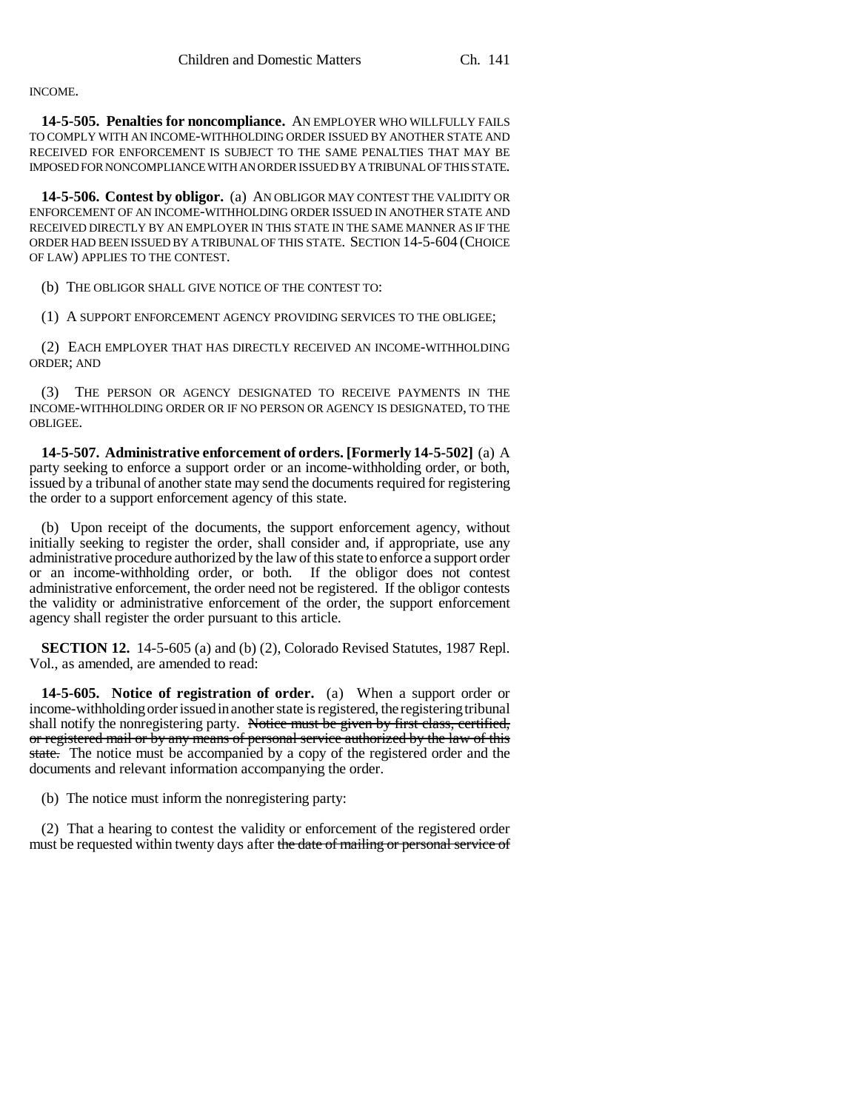## INCOME.

**14-5-505. Penalties for noncompliance.** AN EMPLOYER WHO WILLFULLY FAILS TO COMPLY WITH AN INCOME-WITHHOLDING ORDER ISSUED BY ANOTHER STATE AND RECEIVED FOR ENFORCEMENT IS SUBJECT TO THE SAME PENALTIES THAT MAY BE IMPOSED FOR NONCOMPLIANCE WITH AN ORDER ISSUED BY A TRIBUNAL OF THIS STATE.

**14-5-506. Contest by obligor.** (a) AN OBLIGOR MAY CONTEST THE VALIDITY OR ENFORCEMENT OF AN INCOME-WITHHOLDING ORDER ISSUED IN ANOTHER STATE AND RECEIVED DIRECTLY BY AN EMPLOYER IN THIS STATE IN THE SAME MANNER AS IF THE ORDER HAD BEEN ISSUED BY A TRIBUNAL OF THIS STATE. SECTION 14-5-604 (CHOICE OF LAW) APPLIES TO THE CONTEST.

(b) THE OBLIGOR SHALL GIVE NOTICE OF THE CONTEST TO:

(1) A SUPPORT ENFORCEMENT AGENCY PROVIDING SERVICES TO THE OBLIGEE;

(2) EACH EMPLOYER THAT HAS DIRECTLY RECEIVED AN INCOME-WITHHOLDING ORDER; AND

(3) THE PERSON OR AGENCY DESIGNATED TO RECEIVE PAYMENTS IN THE INCOME-WITHHOLDING ORDER OR IF NO PERSON OR AGENCY IS DESIGNATED, TO THE OBLIGEE.

**14-5-507. Administrative enforcement of orders. [Formerly 14-5-502]** (a) A party seeking to enforce a support order or an income-withholding order, or both, issued by a tribunal of another state may send the documents required for registering the order to a support enforcement agency of this state.

(b) Upon receipt of the documents, the support enforcement agency, without initially seeking to register the order, shall consider and, if appropriate, use any administrative procedure authorized by the law of this state to enforce a support order or an income-withholding order, or both. If the obligor does not contest administrative enforcement, the order need not be registered. If the obligor contests the validity or administrative enforcement of the order, the support enforcement agency shall register the order pursuant to this article.

**SECTION 12.** 14-5-605 (a) and (b) (2), Colorado Revised Statutes, 1987 Repl. Vol., as amended, are amended to read:

**14-5-605. Notice of registration of order.** (a) When a support order or income-withholding order issued in another state is registered, the registering tribunal shall notify the nonregistering party. Notice must be given by first class, certified, or registered mail or by any means of personal service authorized by the law of this state. The notice must be accompanied by a copy of the registered order and the documents and relevant information accompanying the order.

(b) The notice must inform the nonregistering party:

(2) That a hearing to contest the validity or enforcement of the registered order must be requested within twenty days after the date of mailing or personal service of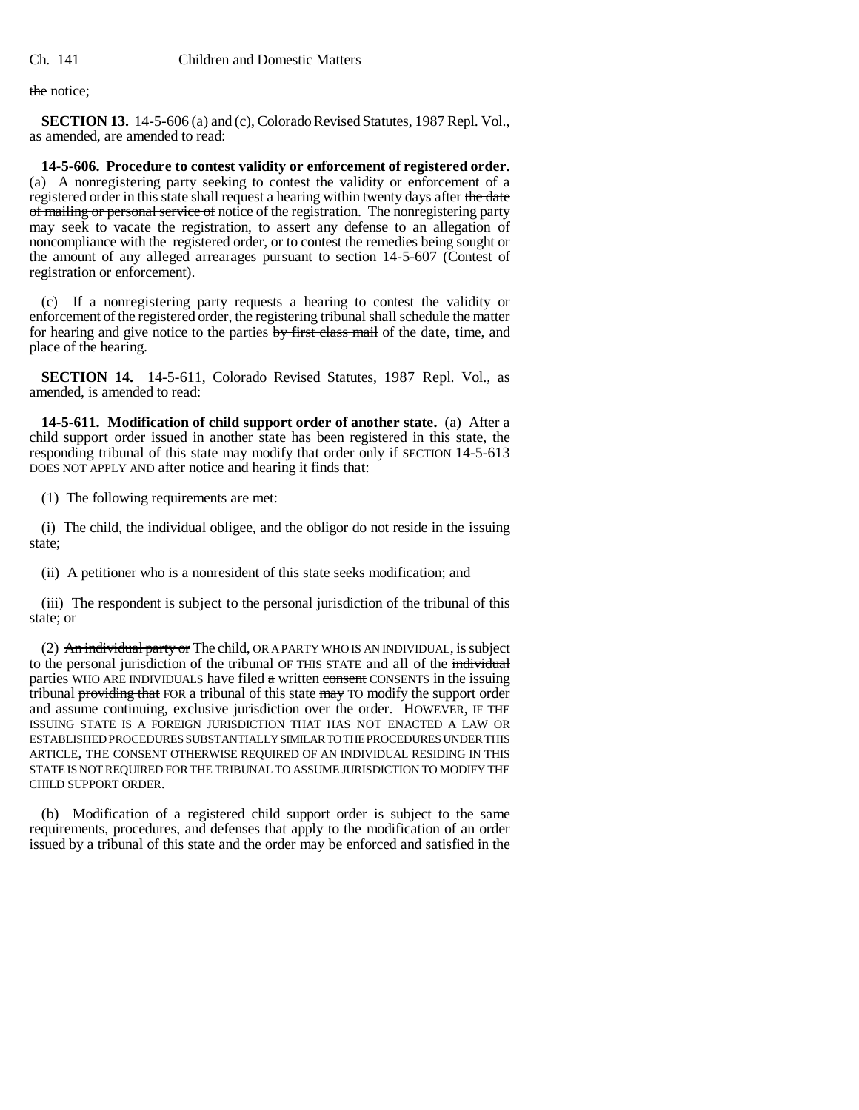the notice;

**SECTION 13.** 14-5-606 (a) and (c), Colorado Revised Statutes, 1987 Repl. Vol., as amended, are amended to read:

**14-5-606. Procedure to contest validity or enforcement of registered order.** (a) A nonregistering party seeking to contest the validity or enforcement of a registered order in this state shall request a hearing within twenty days after the date of mailing or personal service of notice of the registration. The nonregistering party may seek to vacate the registration, to assert any defense to an allegation of noncompliance with the registered order, or to contest the remedies being sought or the amount of any alleged arrearages pursuant to section 14-5-607 (Contest of registration or enforcement).

(c) If a nonregistering party requests a hearing to contest the validity or enforcement of the registered order, the registering tribunal shall schedule the matter for hearing and give notice to the parties by first class mail of the date, time, and place of the hearing.

**SECTION 14.** 14-5-611, Colorado Revised Statutes, 1987 Repl. Vol., as amended, is amended to read:

**14-5-611. Modification of child support order of another state.** (a) After a child support order issued in another state has been registered in this state, the responding tribunal of this state may modify that order only if SECTION 14-5-613 DOES NOT APPLY AND after notice and hearing it finds that:

(1) The following requirements are met:

(i) The child, the individual obligee, and the obligor do not reside in the issuing state;

(ii) A petitioner who is a nonresident of this state seeks modification; and

(iii) The respondent is subject to the personal jurisdiction of the tribunal of this state; or

(2) An individual party or The child, OR A PARTY WHO IS AN INDIVIDUAL, is subject to the personal jurisdiction of the tribunal OF THIS STATE and all of the individual parties WHO ARE INDIVIDUALS have filed  $a$  written consent CONSENTS in the issuing tribunal providing that FOR a tribunal of this state may TO modify the support order and assume continuing, exclusive jurisdiction over the order. HOWEVER, IF THE ISSUING STATE IS A FOREIGN JURISDICTION THAT HAS NOT ENACTED A LAW OR ESTABLISHED PROCEDURES SUBSTANTIALLY SIMILAR TO THE PROCEDURES UNDER THIS ARTICLE, THE CONSENT OTHERWISE REQUIRED OF AN INDIVIDUAL RESIDING IN THIS STATE IS NOT REQUIRED FOR THE TRIBUNAL TO ASSUME JURISDICTION TO MODIFY THE CHILD SUPPORT ORDER.

(b) Modification of a registered child support order is subject to the same requirements, procedures, and defenses that apply to the modification of an order issued by a tribunal of this state and the order may be enforced and satisfied in the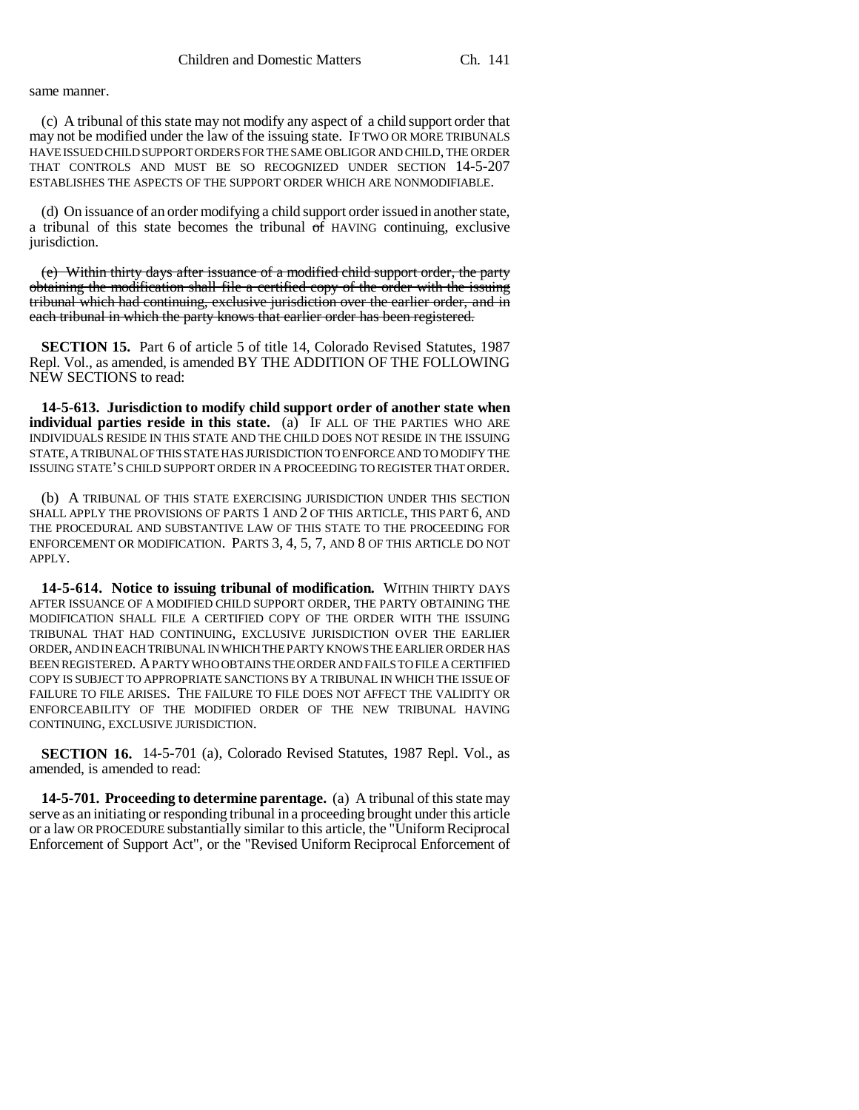## same manner.

(c) A tribunal of this state may not modify any aspect of a child support order that may not be modified under the law of the issuing state. IF TWO OR MORE TRIBUNALS HAVE ISSUED CHILD SUPPORT ORDERS FOR THE SAME OBLIGOR AND CHILD, THE ORDER THAT CONTROLS AND MUST BE SO RECOGNIZED UNDER SECTION 14-5-207 ESTABLISHES THE ASPECTS OF THE SUPPORT ORDER WHICH ARE NONMODIFIABLE.

(d) On issuance of an order modifying a child support order issued in another state, a tribunal of this state becomes the tribunal of HAVING continuing, exclusive jurisdiction.

(e) Within thirty days after issuance of a modified child support order, the party obtaining the modification shall file a certified copy of the order with the issuing tribunal which had continuing, exclusive jurisdiction over the earlier order, and in each tribunal in which the party knows that earlier order has been registered.

**SECTION 15.** Part 6 of article 5 of title 14, Colorado Revised Statutes, 1987 Repl. Vol., as amended, is amended BY THE ADDITION OF THE FOLLOWING NEW SECTIONS to read:

**14-5-613. Jurisdiction to modify child support order of another state when individual parties reside in this state.** (a) IF ALL OF THE PARTIES WHO ARE INDIVIDUALS RESIDE IN THIS STATE AND THE CHILD DOES NOT RESIDE IN THE ISSUING STATE, A TRIBUNAL OF THIS STATE HAS JURISDICTION TO ENFORCE AND TO MODIFY THE ISSUING STATE'S CHILD SUPPORT ORDER IN A PROCEEDING TO REGISTER THAT ORDER.

(b) A TRIBUNAL OF THIS STATE EXERCISING JURISDICTION UNDER THIS SECTION SHALL APPLY THE PROVISIONS OF PARTS 1 AND 2 OF THIS ARTICLE, THIS PART 6, AND THE PROCEDURAL AND SUBSTANTIVE LAW OF THIS STATE TO THE PROCEEDING FOR ENFORCEMENT OR MODIFICATION. PARTS 3, 4, 5, 7, AND 8 OF THIS ARTICLE DO NOT APPLY.

**14-5-614. Notice to issuing tribunal of modification.** WITHIN THIRTY DAYS AFTER ISSUANCE OF A MODIFIED CHILD SUPPORT ORDER, THE PARTY OBTAINING THE MODIFICATION SHALL FILE A CERTIFIED COPY OF THE ORDER WITH THE ISSUING TRIBUNAL THAT HAD CONTINUING, EXCLUSIVE JURISDICTION OVER THE EARLIER ORDER, AND IN EACH TRIBUNAL IN WHICH THE PARTY KNOWS THE EARLIER ORDER HAS BEEN REGISTERED. A PARTY WHO OBTAINS THE ORDER AND FAILS TO FILE A CERTIFIED COPY IS SUBJECT TO APPROPRIATE SANCTIONS BY A TRIBUNAL IN WHICH THE ISSUE OF FAILURE TO FILE ARISES. THE FAILURE TO FILE DOES NOT AFFECT THE VALIDITY OR ENFORCEABILITY OF THE MODIFIED ORDER OF THE NEW TRIBUNAL HAVING CONTINUING, EXCLUSIVE JURISDICTION.

**SECTION 16.** 14-5-701 (a), Colorado Revised Statutes, 1987 Repl. Vol., as amended, is amended to read:

**14-5-701. Proceeding to determine parentage.** (a) A tribunal of this state may serve as an initiating or responding tribunal in a proceeding brought under this article or a law OR PROCEDURE substantially similar to this article, the "Uniform Reciprocal Enforcement of Support Act", or the "Revised Uniform Reciprocal Enforcement of